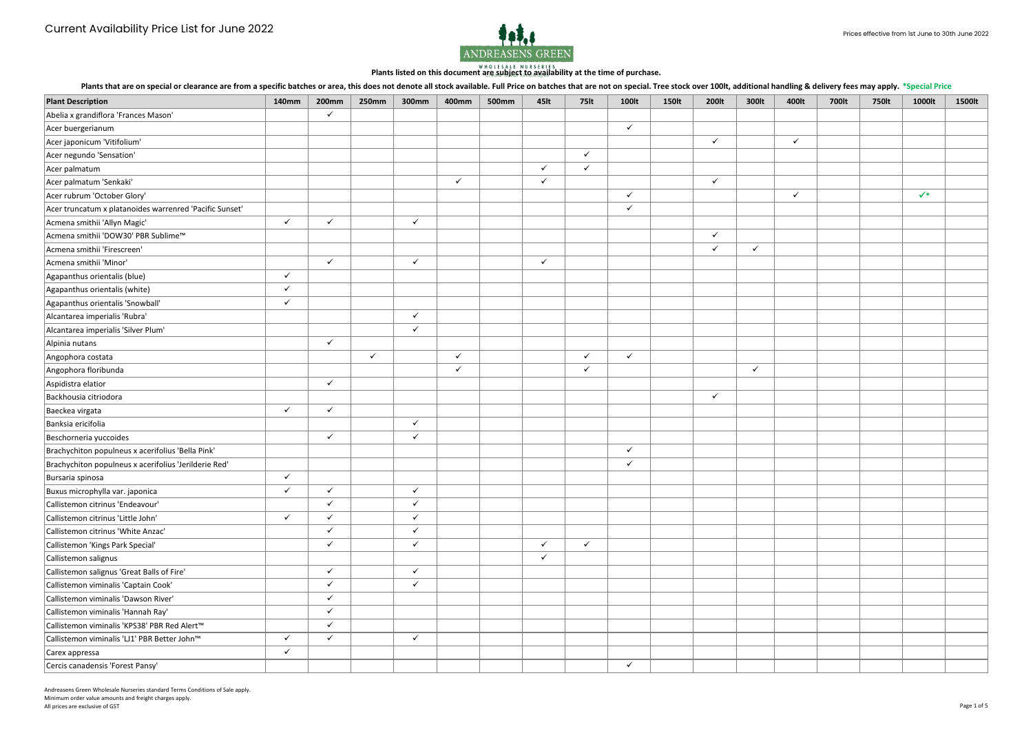

Plants that are on special or clearance are from a specific batches or area, this does not denote all stock available. Full Price on batches that are not on special. Tree stock over 100lt, additional handling & delivery fe

|                                                         |              |                              |              |              |              |              |                  |              |              |              |              |              |              |       | .            |                |        |
|---------------------------------------------------------|--------------|------------------------------|--------------|--------------|--------------|--------------|------------------|--------------|--------------|--------------|--------------|--------------|--------------|-------|--------------|----------------|--------|
| <b>Plant Description</b>                                | <b>140mm</b> | <b>200mm</b><br>$\checkmark$ | 250mm        | <b>300mm</b> | 400mm        | <b>500mm</b> | 45 <sub>It</sub> | <b>75lt</b>  | <b>100lt</b> | <b>150lt</b> | 200lt        | 300lt        | 400lt        | 700lt | <b>750lt</b> | 1000lt         | 1500lt |
| Abelia x grandiflora 'Frances Mason'                    |              |                              |              |              |              |              |                  |              | $\checkmark$ |              |              |              |              |       |              |                |        |
| Acer buergerianum                                       |              |                              |              |              |              |              |                  |              |              |              |              |              |              |       |              |                |        |
| Acer japonicum 'Vitifolium'                             |              |                              |              |              |              |              |                  |              |              |              | $\checkmark$ |              | $\checkmark$ |       |              |                |        |
| Acer negundo 'Sensation'                                |              |                              |              |              |              |              |                  | $\checkmark$ |              |              |              |              |              |       |              |                |        |
| Acer palmatum                                           |              |                              |              |              |              |              | $\checkmark$     | $\checkmark$ |              |              |              |              |              |       |              |                |        |
| Acer palmatum 'Senkaki'                                 |              |                              |              |              | $\checkmark$ |              | $\checkmark$     |              |              |              | $\checkmark$ |              |              |       |              |                |        |
| Acer rubrum 'October Glory'                             |              |                              |              |              |              |              |                  |              | $\checkmark$ |              |              |              | $\checkmark$ |       |              | $\checkmark^*$ |        |
| Acer truncatum x platanoides warrenred 'Pacific Sunset' |              |                              |              |              |              |              |                  |              | $\checkmark$ |              |              |              |              |       |              |                |        |
| Acmena smithii 'Allyn Magic'                            | $\checkmark$ | $\checkmark$                 |              | $\checkmark$ |              |              |                  |              |              |              |              |              |              |       |              |                |        |
| Acmena smithii 'DOW30' PBR Sublime™                     |              |                              |              |              |              |              |                  |              |              |              | $\checkmark$ |              |              |       |              |                |        |
| Acmena smithii 'Firescreen'                             |              |                              |              |              |              |              |                  |              |              |              | $\checkmark$ | $\checkmark$ |              |       |              |                |        |
| Acmena smithii 'Minor'                                  |              | $\checkmark$                 |              | $\checkmark$ |              |              | $\checkmark$     |              |              |              |              |              |              |       |              |                |        |
| Agapanthus orientalis (blue)                            | $\checkmark$ |                              |              |              |              |              |                  |              |              |              |              |              |              |       |              |                |        |
| Agapanthus orientalis (white)                           | $\checkmark$ |                              |              |              |              |              |                  |              |              |              |              |              |              |       |              |                |        |
| Agapanthus orientalis 'Snowball'                        | ✓            |                              |              |              |              |              |                  |              |              |              |              |              |              |       |              |                |        |
| Alcantarea imperialis 'Rubra'                           |              |                              |              | $\checkmark$ |              |              |                  |              |              |              |              |              |              |       |              |                |        |
| Alcantarea imperialis 'Silver Plum'                     |              |                              |              | $\checkmark$ |              |              |                  |              |              |              |              |              |              |       |              |                |        |
| Alpinia nutans                                          |              | $\checkmark$                 |              |              |              |              |                  |              |              |              |              |              |              |       |              |                |        |
| Angophora costata                                       |              |                              | $\checkmark$ |              | $\checkmark$ |              |                  | $\checkmark$ | $\checkmark$ |              |              |              |              |       |              |                |        |
| Angophora floribunda                                    |              |                              |              |              | $\checkmark$ |              |                  | $\checkmark$ |              |              |              | $\checkmark$ |              |       |              |                |        |
| Aspidistra elatior                                      |              | $\checkmark$                 |              |              |              |              |                  |              |              |              |              |              |              |       |              |                |        |
| Backhousia citriodora                                   |              |                              |              |              |              |              |                  |              |              |              | $\checkmark$ |              |              |       |              |                |        |
| Baeckea virgata                                         | $\checkmark$ | $\checkmark$                 |              |              |              |              |                  |              |              |              |              |              |              |       |              |                |        |
| Banksia ericifolia                                      |              |                              |              | $\checkmark$ |              |              |                  |              |              |              |              |              |              |       |              |                |        |
| Beschorneria yuccoides                                  |              | $\checkmark$                 |              | $\checkmark$ |              |              |                  |              |              |              |              |              |              |       |              |                |        |
| Brachychiton populneus x acerifolius 'Bella Pink'       |              |                              |              |              |              |              |                  |              | $\checkmark$ |              |              |              |              |       |              |                |        |
| Brachychiton populneus x acerifolius 'Jerilderie Red'   |              |                              |              |              |              |              |                  |              | $\checkmark$ |              |              |              |              |       |              |                |        |
| Bursaria spinosa                                        | ✓            |                              |              |              |              |              |                  |              |              |              |              |              |              |       |              |                |        |
| Buxus microphylla var. japonica                         | $\checkmark$ | $\checkmark$                 |              | $\checkmark$ |              |              |                  |              |              |              |              |              |              |       |              |                |        |
| Callistemon citrinus 'Endeavour'                        |              | $\checkmark$                 |              | $\checkmark$ |              |              |                  |              |              |              |              |              |              |       |              |                |        |
| Callistemon citrinus 'Little John'                      | $\checkmark$ | $\checkmark$                 |              | $\checkmark$ |              |              |                  |              |              |              |              |              |              |       |              |                |        |
| Callistemon citrinus 'White Anzac'                      |              | $\checkmark$                 |              | $\checkmark$ |              |              |                  |              |              |              |              |              |              |       |              |                |        |
| Callistemon 'Kings Park Special'                        |              | $\checkmark$                 |              | $\checkmark$ |              |              | $\checkmark$     | $\checkmark$ |              |              |              |              |              |       |              |                |        |
| Callistemon salignus                                    |              |                              |              |              |              |              | $\checkmark$     |              |              |              |              |              |              |       |              |                |        |
| Callistemon salignus 'Great Balls of Fire'              |              | $\checkmark$                 |              | $\checkmark$ |              |              |                  |              |              |              |              |              |              |       |              |                |        |
| Callistemon viminalis 'Captain Cook'                    |              | $\checkmark$                 |              | $\checkmark$ |              |              |                  |              |              |              |              |              |              |       |              |                |        |
| Callistemon viminalis 'Dawson River'                    |              | $\checkmark$                 |              |              |              |              |                  |              |              |              |              |              |              |       |              |                |        |
| Callistemon viminalis 'Hannah Ray'                      |              | $\checkmark$                 |              |              |              |              |                  |              |              |              |              |              |              |       |              |                |        |
| Callistemon viminalis 'KPS38' PBR Red Alert™            |              | $\checkmark$                 |              |              |              |              |                  |              |              |              |              |              |              |       |              |                |        |
| Callistemon viminalis 'LJ1' PBR Better John™            | $\checkmark$ | $\checkmark$                 |              | $\checkmark$ |              |              |                  |              |              |              |              |              |              |       |              |                |        |
| Carex appressa                                          | $\checkmark$ |                              |              |              |              |              |                  |              |              |              |              |              |              |       |              |                |        |
| Cercis canadensis 'Forest Pansy'                        |              |                              |              |              |              |              |                  |              | $\checkmark$ |              |              |              |              |       |              |                |        |
|                                                         |              |                              |              |              |              |              |                  |              |              |              |              |              |              |       |              |                |        |

Andreasens Green Wholesale Nurseries standard Terms Conditions of Sale apply. Minimum order value amounts and freight charges apply. All prices are exclusive of GST Page 1 of 5 Page 1 of 5 Page 1 of 5 Page 1 of 5 Page 1 of 5 Page 1 of 5 Page 1 of 5 Page 1 of 5 Page 1 of 5 Page 1 of 5 Page 1 of 5 Page 1 of 5 Page 1 of 5 Page 1 of 5 Page 1 of 5 Page 1 of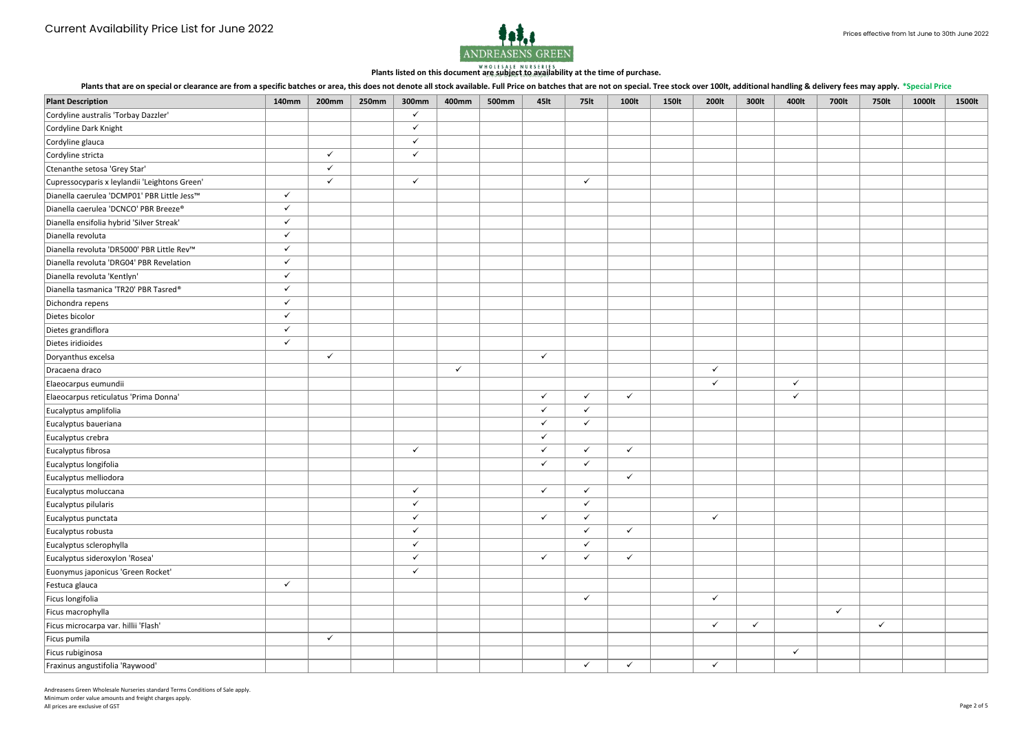

Plants that are on special or clearance are from a specific batches or area, this does not denote all stock available. Full Price on batches that are not on special. Tree stock over 100lt, additional handling & delivery fe

|                                               |              |              |              |              |              |       |                  |              |              |              |              |              |              |              | .            |        |        |
|-----------------------------------------------|--------------|--------------|--------------|--------------|--------------|-------|------------------|--------------|--------------|--------------|--------------|--------------|--------------|--------------|--------------|--------|--------|
| <b>Plant Description</b>                      | <b>140mm</b> | <b>200mm</b> | <b>250mm</b> | 300mm        | 400mm        | 500mm | 45 <sub>It</sub> | <b>75lt</b>  | 100lt        | <b>150lt</b> | 200lt        | 300lt        | 400lt        | 700lt        | <b>750lt</b> | 1000lt | 1500lt |
| Cordyline australis 'Torbay Dazzler'          |              |              |              | $\checkmark$ |              |       |                  |              |              |              |              |              |              |              |              |        |        |
| Cordyline Dark Knight                         |              |              |              | $\checkmark$ |              |       |                  |              |              |              |              |              |              |              |              |        |        |
| Cordyline glauca                              |              |              |              | $\checkmark$ |              |       |                  |              |              |              |              |              |              |              |              |        |        |
| Cordyline stricta                             |              | $\checkmark$ |              | $\checkmark$ |              |       |                  |              |              |              |              |              |              |              |              |        |        |
| Ctenanthe setosa 'Grey Star'                  |              | $\checkmark$ |              |              |              |       |                  |              |              |              |              |              |              |              |              |        |        |
| Cupressocyparis x leylandii 'Leightons Green' |              | $\checkmark$ |              | $\checkmark$ |              |       |                  | $\checkmark$ |              |              |              |              |              |              |              |        |        |
| Dianella caerulea 'DCMP01' PBR Little Jess™   | $\checkmark$ |              |              |              |              |       |                  |              |              |              |              |              |              |              |              |        |        |
| Dianella caerulea 'DCNCO' PBR Breeze®         | $\checkmark$ |              |              |              |              |       |                  |              |              |              |              |              |              |              |              |        |        |
| Dianella ensifolia hybrid 'Silver Streak'     | $\checkmark$ |              |              |              |              |       |                  |              |              |              |              |              |              |              |              |        |        |
| Dianella revoluta                             | $\checkmark$ |              |              |              |              |       |                  |              |              |              |              |              |              |              |              |        |        |
| Dianella revoluta 'DR5000' PBR Little Rev™    | $\checkmark$ |              |              |              |              |       |                  |              |              |              |              |              |              |              |              |        |        |
| Dianella revoluta 'DRG04' PBR Revelation      | $\checkmark$ |              |              |              |              |       |                  |              |              |              |              |              |              |              |              |        |        |
| Dianella revoluta 'Kentlyn'                   | $\checkmark$ |              |              |              |              |       |                  |              |              |              |              |              |              |              |              |        |        |
| Dianella tasmanica 'TR20' PBR Tasred®         | $\checkmark$ |              |              |              |              |       |                  |              |              |              |              |              |              |              |              |        |        |
| Dichondra repens                              | $\checkmark$ |              |              |              |              |       |                  |              |              |              |              |              |              |              |              |        |        |
| Dietes bicolor                                | $\checkmark$ |              |              |              |              |       |                  |              |              |              |              |              |              |              |              |        |        |
| Dietes grandiflora                            | $\checkmark$ |              |              |              |              |       |                  |              |              |              |              |              |              |              |              |        |        |
| Dietes iridioides                             | $\checkmark$ |              |              |              |              |       |                  |              |              |              |              |              |              |              |              |        |        |
| Doryanthus excelsa                            |              | $\checkmark$ |              |              |              |       | $\checkmark$     |              |              |              |              |              |              |              |              |        |        |
| Dracaena draco                                |              |              |              |              | $\checkmark$ |       |                  |              |              |              | $\checkmark$ |              |              |              |              |        |        |
| Elaeocarpus eumundii                          |              |              |              |              |              |       |                  |              |              |              | $\checkmark$ |              | $\checkmark$ |              |              |        |        |
| Elaeocarpus reticulatus 'Prima Donna'         |              |              |              |              |              |       | $\checkmark$     | $\checkmark$ | $\checkmark$ |              |              |              | $\checkmark$ |              |              |        |        |
| Eucalyptus amplifolia                         |              |              |              |              |              |       | $\checkmark$     | $\checkmark$ |              |              |              |              |              |              |              |        |        |
| Eucalyptus baueriana                          |              |              |              |              |              |       | $\checkmark$     | $\checkmark$ |              |              |              |              |              |              |              |        |        |
| Eucalyptus crebra                             |              |              |              |              |              |       | $\checkmark$     |              |              |              |              |              |              |              |              |        |        |
| Eucalyptus fibrosa                            |              |              |              | $\checkmark$ |              |       | $\checkmark$     | $\checkmark$ | $\checkmark$ |              |              |              |              |              |              |        |        |
| Eucalyptus longifolia                         |              |              |              |              |              |       | $\checkmark$     | $\checkmark$ |              |              |              |              |              |              |              |        |        |
| Eucalyptus melliodora                         |              |              |              |              |              |       |                  |              | $\checkmark$ |              |              |              |              |              |              |        |        |
| Eucalyptus moluccana                          |              |              |              | $\checkmark$ |              |       | $\checkmark$     | $\checkmark$ |              |              |              |              |              |              |              |        |        |
| Eucalyptus pilularis                          |              |              |              | $\checkmark$ |              |       |                  | $\checkmark$ |              |              |              |              |              |              |              |        |        |
| Eucalyptus punctata                           |              |              |              | $\checkmark$ |              |       | $\checkmark$     | $\checkmark$ |              |              | $\checkmark$ |              |              |              |              |        |        |
| Eucalyptus robusta                            |              |              |              | $\checkmark$ |              |       |                  | $\checkmark$ | $\checkmark$ |              |              |              |              |              |              |        |        |
| Eucalyptus sclerophylla                       |              |              |              | $\checkmark$ |              |       |                  | $\checkmark$ |              |              |              |              |              |              |              |        |        |
| Eucalyptus sideroxylon 'Rosea'                |              |              |              | $\checkmark$ |              |       | $\checkmark$     | $\checkmark$ | $\checkmark$ |              |              |              |              |              |              |        |        |
| Euonymus japonicus 'Green Rocket'             |              |              |              | $\checkmark$ |              |       |                  |              |              |              |              |              |              |              |              |        |        |
| Festuca glauca                                | $\checkmark$ |              |              |              |              |       |                  |              |              |              |              |              |              |              |              |        |        |
| Ficus longifolia                              |              |              |              |              |              |       |                  | $\checkmark$ |              |              | $\checkmark$ |              |              |              |              |        |        |
| Ficus macrophylla                             |              |              |              |              |              |       |                  |              |              |              |              |              |              | $\checkmark$ |              |        |        |
| Ficus microcarpa var. hillii 'Flash'          |              |              |              |              |              |       |                  |              |              |              | $\checkmark$ | $\checkmark$ |              |              | $\checkmark$ |        |        |
| Ficus pumila                                  |              | $\checkmark$ |              |              |              |       |                  |              |              |              |              |              |              |              |              |        |        |
| Ficus rubiginosa                              |              |              |              |              |              |       |                  |              |              |              |              |              | $\checkmark$ |              |              |        |        |
| Fraxinus angustifolia 'Raywood'               |              |              |              |              |              |       |                  | $\checkmark$ | $\checkmark$ |              | $\checkmark$ |              |              |              |              |        |        |
|                                               |              |              |              |              |              |       |                  |              |              |              |              |              |              |              |              |        |        |

Andreasens Green Wholesale Nurseries standard Terms Conditions of Sale apply. Minimum order value amounts and freight charges apply. All prices are exclusive of GST Page 2 of 5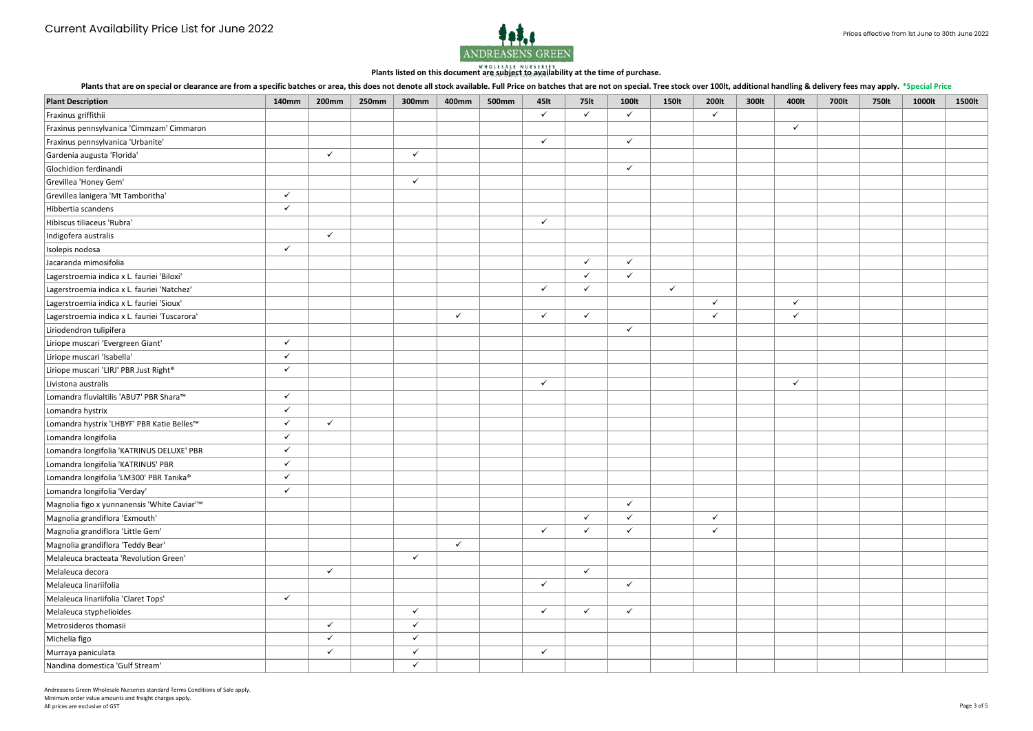

Plants that are on special or clearance are from a specific batches or area, this does not denote all stock available. Full Price on batches that are not on special. Tree stock over 100lt, additional handling & delivery fe

Andreasens Green Wholesale Nurseries standard Terms Conditions of Sale apply. Minimum order value amounts and freight charges apply. All prices are exclusive of GST Page 3 of 5 Page 3 of 5 Page 3 of 5 Page 3 of 5 Page 3 of 5 Page 3 of 5 Page 3 of 5 Page 3 of 5 Page 3 of 5 Page 3 of 5 Page 3 of 5 Page 3 of 5 Page 3 of 5 Page 3 of 5 Page 3 of 5 Page 3 of

| <b>Plant Description</b>                                | <b>140mm</b> | 200mm        | 250mm | 300mm        | 400mm        | 500mm | 45 <sub>It</sub> | <b>75lt</b>  | <b>100lt</b> | <b>150lt</b> | 200lt        | 300lt | 400lt        | 700lt | .<br><b>750lt</b> | 1000lt | 1500lt |
|---------------------------------------------------------|--------------|--------------|-------|--------------|--------------|-------|------------------|--------------|--------------|--------------|--------------|-------|--------------|-------|-------------------|--------|--------|
| Fraxinus griffithii                                     |              |              |       |              |              |       | $\checkmark$     | $\checkmark$ | $\checkmark$ |              | $\checkmark$ |       |              |       |                   |        |        |
| Fraxinus pennsylvanica 'Cimmzam' Cimmaron               |              |              |       |              |              |       |                  |              |              |              |              |       | $\checkmark$ |       |                   |        |        |
| Fraxinus pennsylvanica 'Urbanite'                       |              |              |       |              |              |       | $\checkmark$     |              | $\checkmark$ |              |              |       |              |       |                   |        |        |
| Gardenia augusta 'Florida'                              |              | $\checkmark$ |       | $\checkmark$ |              |       |                  |              |              |              |              |       |              |       |                   |        |        |
| Glochidion ferdinandi                                   |              |              |       |              |              |       |                  |              | $\checkmark$ |              |              |       |              |       |                   |        |        |
| Grevillea 'Honey Gem'                                   |              |              |       | $\checkmark$ |              |       |                  |              |              |              |              |       |              |       |                   |        |        |
| Grevillea lanigera 'Mt Tamboritha'                      | $\checkmark$ |              |       |              |              |       |                  |              |              |              |              |       |              |       |                   |        |        |
| Hibbertia scandens                                      | $\checkmark$ |              |       |              |              |       |                  |              |              |              |              |       |              |       |                   |        |        |
| Hibiscus tiliaceus 'Rubra'                              |              |              |       |              |              |       | $\checkmark$     |              |              |              |              |       |              |       |                   |        |        |
| Indigofera australis                                    |              | $\checkmark$ |       |              |              |       |                  |              |              |              |              |       |              |       |                   |        |        |
| Isolepis nodosa                                         | $\checkmark$ |              |       |              |              |       |                  |              |              |              |              |       |              |       |                   |        |        |
| Jacaranda mimosifolia                                   |              |              |       |              |              |       |                  | $\checkmark$ | $\checkmark$ |              |              |       |              |       |                   |        |        |
| Lagerstroemia indica x L. fauriei 'Biloxi'              |              |              |       |              |              |       |                  | $\checkmark$ | $\checkmark$ |              |              |       |              |       |                   |        |        |
| Lagerstroemia indica x L. fauriei 'Natchez'             |              |              |       |              |              |       | $\checkmark$     | $\checkmark$ |              | $\checkmark$ |              |       |              |       |                   |        |        |
| Lagerstroemia indica x L. fauriei 'Sioux'               |              |              |       |              |              |       |                  |              |              |              | $\checkmark$ |       | $\checkmark$ |       |                   |        |        |
| Lagerstroemia indica x L. fauriei 'Tuscarora'           |              |              |       |              | $\checkmark$ |       | $\checkmark$     | $\checkmark$ |              |              | $\checkmark$ |       | $\checkmark$ |       |                   |        |        |
| Liriodendron tulipifera                                 |              |              |       |              |              |       |                  |              | $\checkmark$ |              |              |       |              |       |                   |        |        |
| Liriope muscari 'Evergreen Giant'                       | $\checkmark$ |              |       |              |              |       |                  |              |              |              |              |       |              |       |                   |        |        |
| Liriope muscari 'Isabella'                              | $\checkmark$ |              |       |              |              |       |                  |              |              |              |              |       |              |       |                   |        |        |
| Liriope muscari 'LIRJ' PBR Just Right®                  | $\checkmark$ |              |       |              |              |       |                  |              |              |              |              |       |              |       |                   |        |        |
| Livistona australis                                     |              |              |       |              |              |       | $\checkmark$     |              |              |              |              |       | $\checkmark$ |       |                   |        |        |
| Lomandra fluvialtilis 'ABU7' PBR Shara™                 | $\checkmark$ |              |       |              |              |       |                  |              |              |              |              |       |              |       |                   |        |        |
| Lomandra hystrix                                        | $\checkmark$ |              |       |              |              |       |                  |              |              |              |              |       |              |       |                   |        |        |
| Lomandra hystrix 'LHBYF' PBR Katie Belles™              | $\checkmark$ | $\checkmark$ |       |              |              |       |                  |              |              |              |              |       |              |       |                   |        |        |
| Lomandra longifolia                                     | $\checkmark$ |              |       |              |              |       |                  |              |              |              |              |       |              |       |                   |        |        |
| Lomandra longifolia 'KATRINUS DELUXE' PBR               | $\checkmark$ |              |       |              |              |       |                  |              |              |              |              |       |              |       |                   |        |        |
| Lomandra longifolia 'KATRINUS' PBR                      | $\checkmark$ |              |       |              |              |       |                  |              |              |              |              |       |              |       |                   |        |        |
| Lomandra longifolia 'LM300' PBR Tanika®                 | $\checkmark$ |              |       |              |              |       |                  |              |              |              |              |       |              |       |                   |        |        |
| Lomandra longifolia 'Verday'                            | $\checkmark$ |              |       |              |              |       |                  |              |              |              |              |       |              |       |                   |        |        |
| Magnolia figo x yunnanensis 'White Caviar' <sup>™</sup> |              |              |       |              |              |       |                  |              | $\checkmark$ |              |              |       |              |       |                   |        |        |
| Magnolia grandiflora 'Exmouth'                          |              |              |       |              |              |       |                  | $\checkmark$ | $\checkmark$ |              | $\checkmark$ |       |              |       |                   |        |        |
| Magnolia grandiflora 'Little Gem'                       |              |              |       |              |              |       | $\checkmark$     | $\checkmark$ | $\checkmark$ |              | $\checkmark$ |       |              |       |                   |        |        |
| Magnolia grandiflora 'Teddy Bear'                       |              |              |       |              | $\checkmark$ |       |                  |              |              |              |              |       |              |       |                   |        |        |
| Melaleuca bracteata 'Revolution Green'                  |              |              |       | $\checkmark$ |              |       |                  |              |              |              |              |       |              |       |                   |        |        |
| Melaleuca decora                                        |              | $\checkmark$ |       |              |              |       |                  | $\checkmark$ |              |              |              |       |              |       |                   |        |        |
| Melaleuca linariifolia                                  |              |              |       |              |              |       | $\checkmark$     |              | $\checkmark$ |              |              |       |              |       |                   |        |        |
| Melaleuca linariifolia 'Claret Tops'                    | $\checkmark$ |              |       |              |              |       |                  |              |              |              |              |       |              |       |                   |        |        |
| Melaleuca styphelioides                                 |              |              |       | $\checkmark$ |              |       | $\checkmark$     | $\checkmark$ | $\checkmark$ |              |              |       |              |       |                   |        |        |
| Metrosideros thomasii                                   |              | $\checkmark$ |       | $\checkmark$ |              |       |                  |              |              |              |              |       |              |       |                   |        |        |
| Michelia figo                                           |              | $\checkmark$ |       | $\checkmark$ |              |       |                  |              |              |              |              |       |              |       |                   |        |        |
| Murraya paniculata                                      |              | $\checkmark$ |       | $\checkmark$ |              |       | $\checkmark$     |              |              |              |              |       |              |       |                   |        |        |
| Nandina domestica 'Gulf Stream'                         |              |              |       | $\checkmark$ |              |       |                  |              |              |              |              |       |              |       |                   |        |        |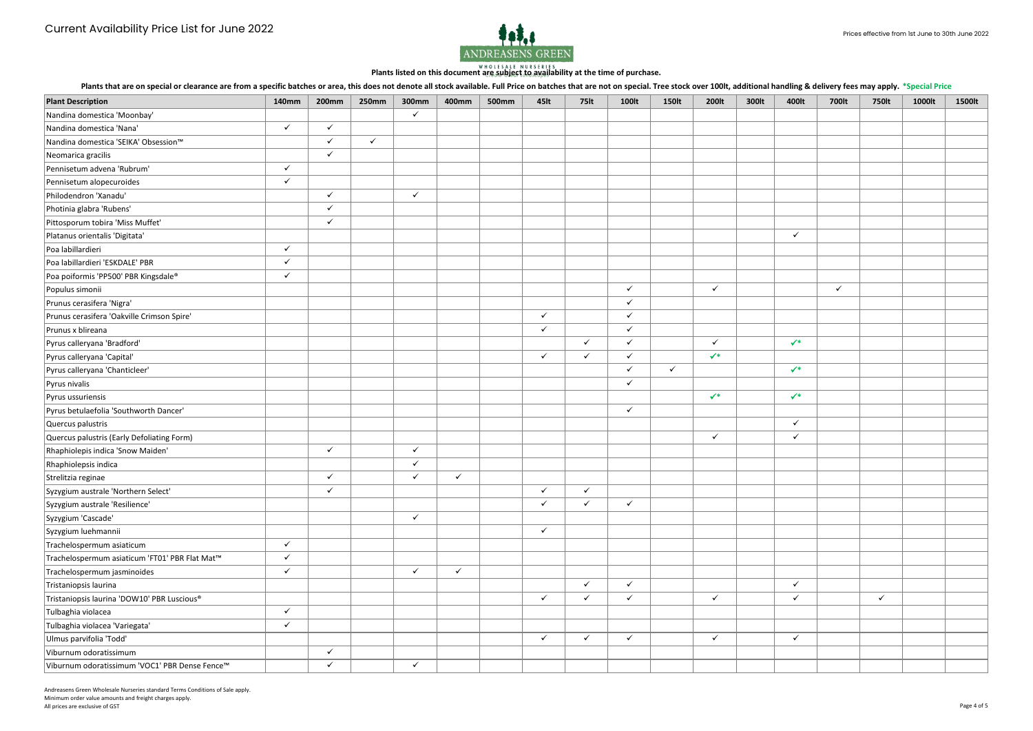

Plants that are on special or clearance are from a specific batches or area, this does not denote all stock available. Full Price on batches that are not on special. Tree stock over 100lt, additional handling & delivery fe

Andreasens Green Wholesale Nurseries standard Terms Conditions of Sale apply. Minimum order value amounts and freight charges apply. All prices are exclusive of GST Page 4 of 5 Page 4 of 5 Page 4 of 5 Page 4 of 5 Page 4 of 5 Page 4 of 5 Page 4 of 5 Page 4 of 5 Page 4 of 5 Page 4 of 5 Page 4 of 5 Page 4 of 5 Page 4 of 5 Page 4 of 5 Page 4 of 5 Page 4 of

|                                                |              |              |              |              |              |              |                  |              |              |              |                |       |                |              | .            |        |        |
|------------------------------------------------|--------------|--------------|--------------|--------------|--------------|--------------|------------------|--------------|--------------|--------------|----------------|-------|----------------|--------------|--------------|--------|--------|
| <b>Plant Description</b>                       | <b>140mm</b> | <b>200mm</b> | <b>250mm</b> | 300mm        | 400mm        | <b>500mm</b> | 45 <sub>It</sub> | <b>75lt</b>  | 100lt        | <b>150lt</b> | 200lt          | 300lt | 400lt          | 700lt        | <b>750lt</b> | 1000lt | 1500lt |
| Nandina domestica 'Moonbay'                    |              |              |              | $\checkmark$ |              |              |                  |              |              |              |                |       |                |              |              |        |        |
| Nandina domestica 'Nana'                       | $\checkmark$ | $\checkmark$ |              |              |              |              |                  |              |              |              |                |       |                |              |              |        |        |
| Nandina domestica 'SEIKA' Obsession™           |              | ✓            | $\checkmark$ |              |              |              |                  |              |              |              |                |       |                |              |              |        |        |
| Neomarica gracilis                             |              | $\checkmark$ |              |              |              |              |                  |              |              |              |                |       |                |              |              |        |        |
| Pennisetum advena 'Rubrum'                     | $\checkmark$ |              |              |              |              |              |                  |              |              |              |                |       |                |              |              |        |        |
| Pennisetum alopecuroides                       | $\checkmark$ |              |              |              |              |              |                  |              |              |              |                |       |                |              |              |        |        |
| Philodendron 'Xanadu'                          |              | $\checkmark$ |              | $\checkmark$ |              |              |                  |              |              |              |                |       |                |              |              |        |        |
| Photinia glabra 'Rubens'                       |              | $\checkmark$ |              |              |              |              |                  |              |              |              |                |       |                |              |              |        |        |
| Pittosporum tobira 'Miss Muffet'               |              | $\checkmark$ |              |              |              |              |                  |              |              |              |                |       |                |              |              |        |        |
| Platanus orientalis 'Digitata'                 |              |              |              |              |              |              |                  |              |              |              |                |       | $\checkmark$   |              |              |        |        |
| Poa labillardieri                              | $\checkmark$ |              |              |              |              |              |                  |              |              |              |                |       |                |              |              |        |        |
| Poa labillardieri 'ESKDALE' PBR                | $\checkmark$ |              |              |              |              |              |                  |              |              |              |                |       |                |              |              |        |        |
| Poa poiformis 'PP500' PBR Kingsdale®           | $\checkmark$ |              |              |              |              |              |                  |              |              |              |                |       |                |              |              |        |        |
| Populus simonii                                |              |              |              |              |              |              |                  |              | $\checkmark$ |              | $\checkmark$   |       |                | $\checkmark$ |              |        |        |
| Prunus cerasifera 'Nigra'                      |              |              |              |              |              |              |                  |              | ✓            |              |                |       |                |              |              |        |        |
| Prunus cerasifera 'Oakville Crimson Spire'     |              |              |              |              |              |              | $\checkmark$     |              | $\checkmark$ |              |                |       |                |              |              |        |        |
| Prunus x blireana                              |              |              |              |              |              |              | $\checkmark$     |              | $\checkmark$ |              |                |       |                |              |              |        |        |
| Pyrus calleryana 'Bradford'                    |              |              |              |              |              |              |                  | $\checkmark$ | $\checkmark$ |              | $\checkmark$   |       | $\checkmark^*$ |              |              |        |        |
| Pyrus calleryana 'Capital'                     |              |              |              |              |              |              | $\checkmark$     | $\checkmark$ | $\checkmark$ |              | $\checkmark^*$ |       |                |              |              |        |        |
| Pyrus calleryana 'Chanticleer'                 |              |              |              |              |              |              |                  |              | $\checkmark$ | $\checkmark$ |                |       | $\checkmark^*$ |              |              |        |        |
| Pyrus nivalis                                  |              |              |              |              |              |              |                  |              | $\checkmark$ |              |                |       |                |              |              |        |        |
| Pyrus ussuriensis                              |              |              |              |              |              |              |                  |              |              |              | $\checkmark^*$ |       | $\checkmark^*$ |              |              |        |        |
| Pyrus betulaefolia 'Southworth Dancer'         |              |              |              |              |              |              |                  |              | $\checkmark$ |              |                |       |                |              |              |        |        |
| Quercus palustris                              |              |              |              |              |              |              |                  |              |              |              |                |       | $\checkmark$   |              |              |        |        |
| Quercus palustris (Early Defoliating Form)     |              |              |              |              |              |              |                  |              |              |              | $\checkmark$   |       | $\checkmark$   |              |              |        |        |
| Rhaphiolepis indica 'Snow Maiden'              |              | $\checkmark$ |              | $\checkmark$ |              |              |                  |              |              |              |                |       |                |              |              |        |        |
| Rhaphiolepsis indica                           |              |              |              | $\checkmark$ |              |              |                  |              |              |              |                |       |                |              |              |        |        |
| Strelitzia reginae                             |              | $\checkmark$ |              | ✓            | $\checkmark$ |              |                  |              |              |              |                |       |                |              |              |        |        |
| Syzygium australe 'Northern Select'            |              | $\checkmark$ |              |              |              |              | $\checkmark$     | $\checkmark$ |              |              |                |       |                |              |              |        |        |
| Syzygium australe 'Resilience'                 |              |              |              |              |              |              | $\checkmark$     | $\checkmark$ | $\checkmark$ |              |                |       |                |              |              |        |        |
| Syzygium 'Cascade'                             |              |              |              | $\checkmark$ |              |              |                  |              |              |              |                |       |                |              |              |        |        |
| Syzygium luehmannii                            |              |              |              |              |              |              | $\checkmark$     |              |              |              |                |       |                |              |              |        |        |
| Trachelospermum asiaticum                      | $\checkmark$ |              |              |              |              |              |                  |              |              |              |                |       |                |              |              |        |        |
| Trachelospermum asiaticum 'FT01' PBR Flat Mat™ | $\checkmark$ |              |              |              |              |              |                  |              |              |              |                |       |                |              |              |        |        |
| Trachelospermum jasminoides                    | $\checkmark$ |              |              | $\checkmark$ | $\checkmark$ |              |                  |              |              |              |                |       |                |              |              |        |        |
| Tristaniopsis laurina                          |              |              |              |              |              |              |                  | $\checkmark$ | $\checkmark$ |              |                |       | $\checkmark$   |              |              |        |        |
| Tristaniopsis laurina 'DOW10' PBR Luscious®    |              |              |              |              |              |              | $\checkmark$     | $\checkmark$ | $\checkmark$ |              | $\checkmark$   |       | $\checkmark$   |              | $\checkmark$ |        |        |
| Tulbaghia violacea                             | $\checkmark$ |              |              |              |              |              |                  |              |              |              |                |       |                |              |              |        |        |
| Tulbaghia violacea 'Variegata'                 | $\checkmark$ |              |              |              |              |              |                  |              |              |              |                |       |                |              |              |        |        |
| Ulmus parvifolia 'Todd'                        |              |              |              |              |              |              | $\checkmark$     | $\checkmark$ | $\checkmark$ |              | $\checkmark$   |       | $\checkmark$   |              |              |        |        |
| Viburnum odoratissimum                         |              | $\checkmark$ |              |              |              |              |                  |              |              |              |                |       |                |              |              |        |        |
| Viburnum odoratissimum 'VOC1' PBR Dense Fence™ |              | $\checkmark$ |              | $\checkmark$ |              |              |                  |              |              |              |                |       |                |              |              |        |        |
|                                                |              |              |              |              |              |              |                  |              |              |              |                |       |                |              |              |        |        |